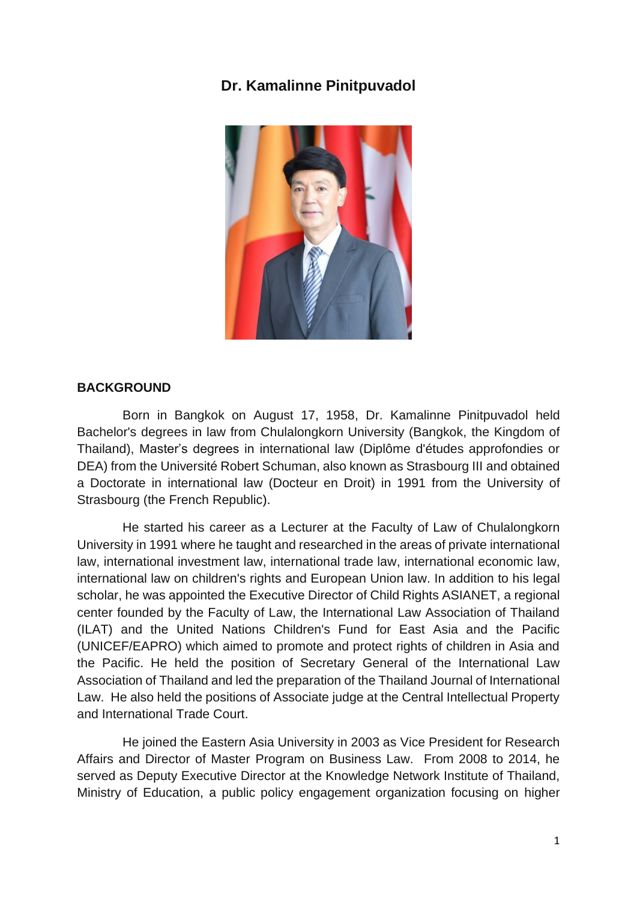## **Dr. Kamalinne Pinitpuvadol**



## **BACKGROUND**

Born in Bangkok on August 17, 1958, Dr. Kamalinne Pinitpuvadol held Bachelor's degrees in law from Chulalongkorn University (Bangkok, the Kingdom of Thailand), Master's degrees in international law (Diplôme d'études approfondies or DEA) from the Université Robert Schuman, also known as Strasbourg III and obtained a Doctorate in international law (Docteur en Droit) in 1991 from the University of Strasbourg (the French Republic).

He started his career as a Lecturer at the Faculty of Law of Chulalongkorn University in 1991 where he taught and researched in the areas of private international law, international investment law, international trade law, international economic law, international law on children's rights and European Union law. In addition to his legal scholar, he was appointed the Executive Director of Child Rights ASIANET, a regional center founded by the Faculty of Law, the International Law Association of Thailand (ILAT) and the United Nations Children's Fund for East Asia and the Pacific (UNICEF/EAPRO) which aimed to promote and protect rights of children in Asia and the Pacific. He held the position of Secretary General of the International Law Association of Thailand and led the preparation of the Thailand Journal of International Law. He also held the positions of Associate judge at the Central Intellectual Property and International Trade Court.

He joined the Eastern Asia University in 2003 as Vice President for Research Affairs and Director of Master Program on Business Law. From 2008 to 2014, he served as Deputy Executive Director at the Knowledge Network Institute of Thailand, Ministry of Education, a public policy engagement organization focusing on higher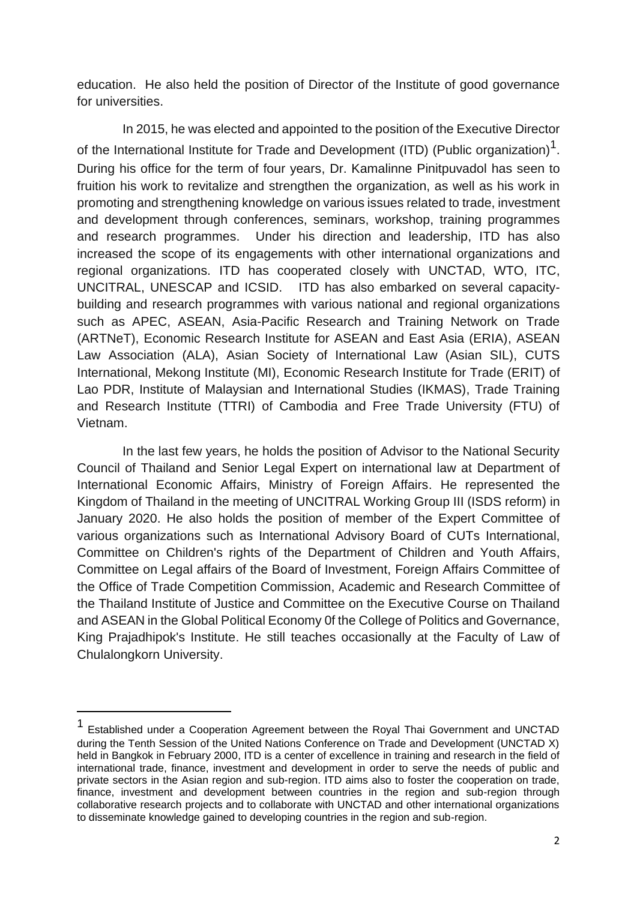education. He also held the position of Director of the Institute of good governance for universities.

In 2015, he was elected and appointed to the position of the Executive Director of the International Institute for Trade and Development (ITD) (Public organization)<sup>1</sup>. During his office for the term of four years, Dr. Kamalinne Pinitpuvadol has seen to fruition his work to revitalize and strengthen the organization, as well as his work in promoting and strengthening knowledge on various issues related to trade, investment and development through conferences, seminars, workshop, training programmes and research programmes. Under his direction and leadership, ITD has also increased the scope of its engagements with other international organizations and regional organizations. ITD has cooperated closely with UNCTAD, WTO, ITC, UNCITRAL, UNESCAP and ICSID. ITD has also embarked on several capacitybuilding and research programmes with various national and regional organizations such as APEC, ASEAN, Asia-Pacific Research and Training Network on Trade (ARTNeT), Economic Research Institute for ASEAN and East Asia (ERIA), ASEAN Law Association (ALA), Asian Society of International Law (Asian SIL), CUTS International, Mekong Institute (MI), Economic Research Institute for Trade (ERIT) of Lao PDR, Institute of Malaysian and International Studies (IKMAS), Trade Training and Research Institute (TTRI) of Cambodia and Free Trade University (FTU) of Vietnam.

In the last few years, he holds the position of Advisor to the National Security Council of Thailand and Senior Legal Expert on international law at Department of International Economic Affairs, Ministry of Foreign Affairs. He represented the Kingdom of Thailand in the meeting of UNCITRAL Working Group III (ISDS reform) in January 2020. He also holds the position of member of the Expert Committee of various organizations such as International Advisory Board of CUTs International, Committee on Children's rights of the Department of Children and Youth Affairs, Committee on Legal affairs of the Board of Investment, Foreign Affairs Committee of the Office of Trade Competition Commission, Academic and Research Committee of the Thailand Institute of Justice and Committee on the Executive Course on Thailand and ASEAN in the Global Political Economy 0f the College of Politics and Governance, King Prajadhipok's Institute. He still teaches occasionally at the Faculty of Law of Chulalongkorn University.

**.** 

<sup>1</sup> Established under a Cooperation Agreement between the Royal Thai Government and UNCTAD during the Tenth Session of the United Nations Conference on Trade and Development (UNCTAD X) held in Bangkok in February 2000, ITD is a center of excellence in training and research in the field of international trade, finance, investment and development in order to serve the needs of public and private sectors in the Asian region and sub-region. ITD aims also to foster the cooperation on trade, finance, investment and development between countries in the region and sub-region through collaborative research projects and to collaborate with UNCTAD and other international organizations to disseminate knowledge gained to developing countries in the region and sub-region.